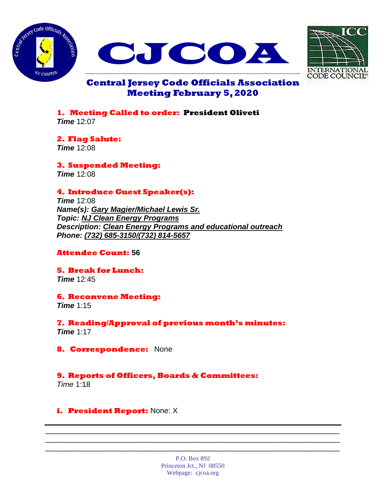





# **Central Jersey Code Officials Association Meeting February 5, 2020**

**1. Meeting Called to order: President Oliveti** *Time* 12:07

**2. Flag Salute:** *Time* 12:08

**3. Suspended Meeting:** *Time* 12:08

## **4. Introduce Guest Speaker(s):**

*Time* 12:08 *Name(s): Gary Magier/Michael Lewis Sr. Topic: NJ Clean Energy Programs Description: Clean Energy Programs and educational outreach Phone: (732) 685-3150/(732) 814-5657*

## **Attendee Count: 56**

**5. Break for Lunch:** *Time* 12:45

## **6. Reconvene Meeting:**

*Time* 1:15

**7. Reading/Approval of previous month's minutes:** *Time* 1:17

**8. Correspondence:** None

# **9. Reports of Officers, Boards & Committees:**

*Time* 1:18

# **i. President Report:** None: X

P.O. Box 892 Princeton Jct., NJ 08550 Webpage: cjcoa.org

\_\_\_\_\_\_\_\_\_\_\_\_\_\_\_\_\_\_\_\_\_\_\_\_\_\_\_\_\_\_\_\_\_\_\_\_\_\_\_\_\_\_\_\_\_\_\_\_\_\_\_\_\_\_\_\_\_\_\_\_\_\_\_\_\_\_\_\_\_\_ \_\_\_\_\_\_\_\_\_\_\_\_\_\_\_\_\_\_\_\_\_\_\_\_\_\_\_\_\_\_\_\_\_\_\_\_\_\_\_\_\_\_\_\_\_\_\_\_\_\_\_\_\_\_\_\_\_\_\_\_\_\_\_\_\_\_\_\_\_\_ \_\_\_\_\_\_\_\_\_\_\_\_\_\_\_\_\_\_\_\_\_\_\_\_\_\_\_\_\_\_\_\_\_\_\_\_\_\_\_\_\_\_\_\_\_\_\_\_\_\_\_\_\_\_\_\_\_\_\_\_\_\_\_\_\_\_\_\_\_\_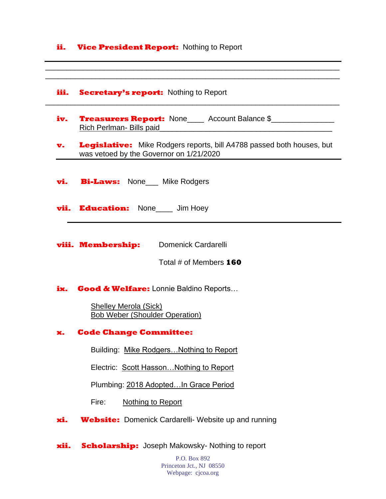#### **ii.** Vice President Report: Nothing to Report

#### **iii. Secretary's report:** Nothing to Report

- **iv.** Treasurers Report: None Account Balance \$ Rich Perlman- Bills paid\_\_\_\_\_\_\_\_\_\_\_\_\_\_\_\_\_\_\_\_\_\_\_\_\_\_\_\_\_\_\_\_\_\_\_\_\_\_\_\_\_
- **v.** Legislative: Mike Rodgers reports, bill A4788 passed both houses, but was vetoed by the Governor on 1/21/2020

\_\_\_\_\_\_\_\_\_\_\_\_\_\_\_\_\_\_\_\_\_\_\_\_\_\_\_\_\_\_\_\_\_\_\_\_\_\_\_\_\_\_\_\_\_\_\_\_\_\_\_\_\_\_\_\_\_\_\_\_\_\_\_\_\_\_\_\_\_\_ \_\_\_\_\_\_\_\_\_\_\_\_\_\_\_\_\_\_\_\_\_\_\_\_\_\_\_\_\_\_\_\_\_\_\_\_\_\_\_\_\_\_\_\_\_\_\_\_\_\_\_\_\_\_\_\_\_\_\_\_\_\_\_\_\_\_\_\_\_\_

\_\_\_\_\_\_\_\_\_\_\_\_\_\_\_\_\_\_\_\_\_\_\_\_\_\_\_\_\_\_\_\_\_\_\_\_\_\_\_\_\_\_\_\_\_\_\_\_\_\_\_\_\_\_\_\_\_\_\_\_\_\_\_\_\_\_\_\_\_\_

- **vi. Bi-Laws:** None\_\_\_ Mike Rodgers
- **vii. Education:** None Jim Hoey
- **viii. Membership:** Domenick Cardarelli

Total # of Members **160**

**ix. Good & Welfare:** Lonnie Baldino Reports…

 Shelley Merola (Sick) Bob Weber (Shoulder Operation)

#### **x. Code Change Committee:**

Building: Mike Rodgers…Nothing to Report

Electric: Scott Hasson…Nothing to Report

Plumbing: 2018 Adopted…In Grace Period

Fire: Nothing to Report

**xi. Website:** Domenick Cardarelli- Website up and running

**xii. Scholarship:** Joseph Makowsky- Nothing to report

P.O. Box 892 Princeton Jct., NJ 08550 Webpage: cjcoa.org